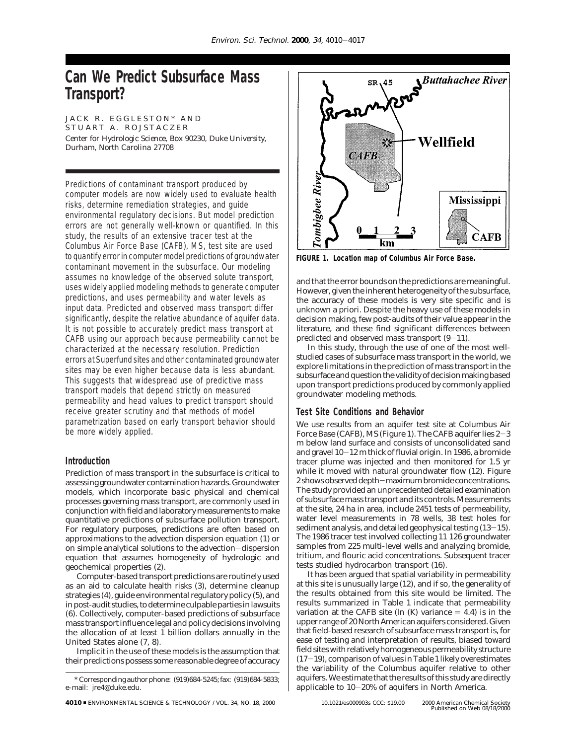# **Can We Predict Subsurface Mass Transport?**

JACK R. EGGLESTON\* AND STUART A. ROJSTACZER *Center for Hydrologic Science, Box 90230, Duke University, Durham, North Carolina 27708*

Predictions of contaminant transport produced by computer models are now widely used to evaluate health risks, determine remediation strategies, and guide environmental regulatory decisions. But model prediction errors are not generally well-known or quantified. In this study, the results of an extensive tracer test at the Columbus Air Force Base (CAFB), MS, test site are used to quantify error in computer model predictions of groundwater contaminant movement in the subsurface. Our modeling assumes no knowledge of the observed solute transport, uses widely applied modeling methods to generate computer predictions, and uses permeability and water levels as input data. Predicted and observed mass transport differ significantly, despite the relative abundance of aquifer data. It is not possible to accurately predict mass transport at CAFB using our approach because permeability cannot be characterized at the necessary resolution. Prediction errors at Superfund sites and other contaminated groundwater sites may be even higher because data is less abundant. This suggests that widespread use of predictive mass transport models that depend strictly on measured permeability and head values to predict transport should receive greater scrutiny and that methods of model parametrization based on early transport behavior should be more widely applied.

## **Introduction**

Prediction of mass transport in the subsurface is critical to assessing groundwater contamination hazards. Groundwater models, which incorporate basic physical and chemical processes governing mass transport, are commonly used in conjunction with field and laboratory measurements to make quantitative predictions of subsurface pollution transport. For regulatory purposes, predictions are often based on approximations to the advection dispersion equation (*1*) or on simple analytical solutions to the advection-dispersion equation that assumes homogeneity of hydrologic and geochemical properties (*2*).

Computer-based transport predictions are routinely used as an aid to calculate health risks (*3*), determine cleanup strategies (*4*), guide environmental regulatory policy (*5*), and in post-audit studies, to determine culpable parties in lawsuits (*6*). Collectively, computer-based predictions of subsurface mass transport influence legal and policy decisions involving the allocation of at least 1 billion dollars annually in the United States alone (*7, 8*).

Implicit in the use of these models is the assumption that their predictions possess some reasonable degree of accuracy



**FIGURE 1. Location map of Columbus Air Force Base.**

and that the error bounds on the predictions are meaningful. However, given the inherent heterogeneity of the subsurface, the accuracy of these models is very site specific and is unknown a priori. Despite the heavy use of these models in decision making, few post-audits of their value appear in the literature, and these find significant differences between predicted and observed mass transport (*9*-*11*).

In this study, through the use of one of the most wellstudied cases of subsurface mass transport in the world, we explore limitations in the prediction of mass transport in the subsurface and question the validity of decision making based upon transport predictions produced by commonly applied groundwater modeling methods.

## **Test Site Conditions and Behavior**

We use results from an aquifer test site at Columbus Air Force Base (CAFB), MS (Figure 1). The CAFB aquifer lies 2-<sup>3</sup> m below land surface and consists of unconsolidated sand and gravel 10-12 m thick of fluvial origin. In 1986, a bromide tracer plume was injected and then monitored for 1.5 yr while it moved with natural groundwater flow (*12*). Figure 2 shows observed depth-maximum bromide concentrations. The study provided an unprecedented detailed examination of subsurface mass transport and its controls. Measurements at the site, 24 ha in area, include 2451 tests of permeability, water level measurements in 78 wells, 38 test holes for sediment analysis, and detailed geophysical testing (*13*-*15*). The 1986 tracer test involved collecting 11 126 groundwater samples from 225 multi-level wells and analyzing bromide, tritium, and flouric acid concentrations. Subsequent tracer tests studied hydrocarbon transport (*16*).

It has been argued that spatial variability in permeability at this site is unusually large (*12*), and if so, the generality of the results obtained from this site would be limited. The results summarized in Table 1 indicate that permeability variation at the CAFB site ( $\ln(K)$  variance  $= 4.4$ ) is in the upper range of 20 North American aquifers considered. Given that field-based research of subsurface mass transport is, for ease of testing and interpretation of results, biased toward field sites with relatively homogeneous permeability structure (*17*-*19*), comparison of values in Table 1 likely overestimates the variability of the Columbus aquifer relative to other aquifers. We estimate that the results of this study are directly applicable to  $10-20\%$  of aquifers in North America.<br>10.1021/es000903s CCC: \$19.00  $\quad$  © 2000 American Chemica

<sup>\*</sup> Corresponding author phone: (919)684-5245; fax: (919)684-5833; e-mail: jre4@duke.edu.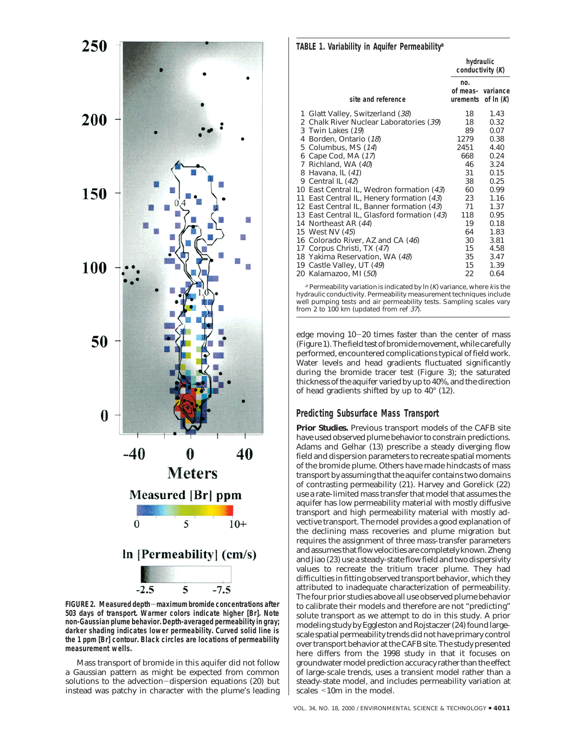

**FIGURE 2. Measured depth**-**maximum bromide concentrations after 503 days of transport. Warmer colors indicate higher [Br]. Note non-Gaussian plume behavior. Depth-averaged permeability in gray; darker shading indicates lower permeability. Curved solid line is the 1 ppm [Br] contour. Black circles are locations of permeability measurement wells.**

Mass transport of bromide in this aquifer did not follow a Gaussian pattern as might be expected from common solutions to the advection-dispersion equations (*20*) but instead was patchy in character with the plume's leading

#### **TABLE 1. Variability in Aquifer Permeability***<sup>a</sup>*

| site and reference   | no.                                                                                                                                                                                                                                                                                                                                                                                                                                                                                                                                                 | of $In (K)$                                                      |  |
|----------------------|-----------------------------------------------------------------------------------------------------------------------------------------------------------------------------------------------------------------------------------------------------------------------------------------------------------------------------------------------------------------------------------------------------------------------------------------------------------------------------------------------------------------------------------------------------|------------------------------------------------------------------|--|
|                      | 18                                                                                                                                                                                                                                                                                                                                                                                                                                                                                                                                                  | 1.43                                                             |  |
|                      | 18                                                                                                                                                                                                                                                                                                                                                                                                                                                                                                                                                  | 0.32                                                             |  |
|                      | 89                                                                                                                                                                                                                                                                                                                                                                                                                                                                                                                                                  | 0.07                                                             |  |
| Borden, Ontario (18) | 1279                                                                                                                                                                                                                                                                                                                                                                                                                                                                                                                                                | 0.38                                                             |  |
|                      | 2451                                                                                                                                                                                                                                                                                                                                                                                                                                                                                                                                                | 4.40                                                             |  |
|                      | 668                                                                                                                                                                                                                                                                                                                                                                                                                                                                                                                                                 | 0.24                                                             |  |
| Richland, WA (40)    | 46                                                                                                                                                                                                                                                                                                                                                                                                                                                                                                                                                  | 3.24                                                             |  |
|                      | 31                                                                                                                                                                                                                                                                                                                                                                                                                                                                                                                                                  | 0.15                                                             |  |
| Central IL (42)      | 38                                                                                                                                                                                                                                                                                                                                                                                                                                                                                                                                                  | 0.25                                                             |  |
|                      | 60                                                                                                                                                                                                                                                                                                                                                                                                                                                                                                                                                  | 0.99                                                             |  |
|                      | 23                                                                                                                                                                                                                                                                                                                                                                                                                                                                                                                                                  | 1.16                                                             |  |
|                      | 71                                                                                                                                                                                                                                                                                                                                                                                                                                                                                                                                                  | 1.37                                                             |  |
|                      | 118                                                                                                                                                                                                                                                                                                                                                                                                                                                                                                                                                 | 0.95                                                             |  |
|                      | 19                                                                                                                                                                                                                                                                                                                                                                                                                                                                                                                                                  | 0.18                                                             |  |
|                      | 64                                                                                                                                                                                                                                                                                                                                                                                                                                                                                                                                                  | 1.83                                                             |  |
|                      | 30                                                                                                                                                                                                                                                                                                                                                                                                                                                                                                                                                  | 3.81                                                             |  |
|                      | 15                                                                                                                                                                                                                                                                                                                                                                                                                                                                                                                                                  | 4.58                                                             |  |
|                      | 35                                                                                                                                                                                                                                                                                                                                                                                                                                                                                                                                                  | 3.47                                                             |  |
|                      | 15                                                                                                                                                                                                                                                                                                                                                                                                                                                                                                                                                  | 1.39                                                             |  |
|                      | 22                                                                                                                                                                                                                                                                                                                                                                                                                                                                                                                                                  | 0.64                                                             |  |
|                      | Glatt Valley, Switzerland (38)<br>2 Chalk River Nuclear Laboratories (39)<br>3 Twin Lakes (19)<br>5 Columbus, MS (14)<br>Cape Cod, MA (17)<br>Havana, IL (41)<br>East Central IL, Wedron formation (43)<br>10<br>East Central IL, Henery formation (43)<br>12 East Central IL, Banner formation (43)<br>13 East Central IL, Glasford formation (43)<br>Northeast AR (44)<br>West NV (45)<br>16 Colorado River, AZ and CA (46)<br>17 Corpus Christi, TX (47)<br>18 Yakima Reservation, WA (48)<br>19 Castle Valley, UT (49)<br>20 Kalamazoo, MI (50) | hydraulic<br>conductivity $(K)$<br>of meas- variance<br>urements |  |

 $a$  Permeability variation is indicated by ln (K) variance, where k is the hydraulic conductivity. Permeability measurement techniques include well pumping tests and air permeability tests. Sampling scales vary from 2 to 100 km (updated from ref 37).

edge moving 10-20 times faster than the center of mass (Figure 1). The field test of bromide movement, while carefully performed, encountered complications typical of field work. Water levels and head gradients fluctuated significantly during the bromide tracer test (Figure 3); the saturated thickness of the aquifer varied by up to 40%, and the direction of head gradients shifted by up to 40° (*12*).

### **Predicting Subsurface Mass Transport**

**Prior Studies.** Previous transport models of the CAFB site have used observed plume behavior to constrain predictions. Adams and Gelhar (*13*) prescribe a steady diverging flow field and dispersion parameters to recreate spatial moments of the bromide plume. Others have made hindcasts of mass transport by assuming that the aquifer contains two domains of contrasting permeability (*21*). Harvey and Gorelick (*22*) use a rate-limited mass transfer that model that assumes the aquifer has low permeability material with mostly diffusive transport and high permeability material with mostly advective transport. The model provides a good explanation of the declining mass recoveries and plume migration but requires the assignment of three mass-transfer parameters and assumes that flow velocities are completely known. Zheng and Jiao (*23*) use a steady-state flow field and two dispersivity values to recreate the tritium tracer plume. They had difficulties in fitting observed transport behavior, which they attributed to inadequate characterization of permeability. The four prior studies above all use observed plume behavior to calibrate their models and therefore are not "predicting" solute transport as we attempt to do in this study. A prior modeling study by Eggleston and Rojstaczer (*24*) found largescale spatial permeability trends did not have primary control over transport behavior at the CAFB site. The study presented here differs from the 1998 study in that it focuses on groundwater model prediction accuracy rather than the effect of large-scale trends, uses a transient model rather than a steady-state model, and includes permeability variation at scales <10m in the model.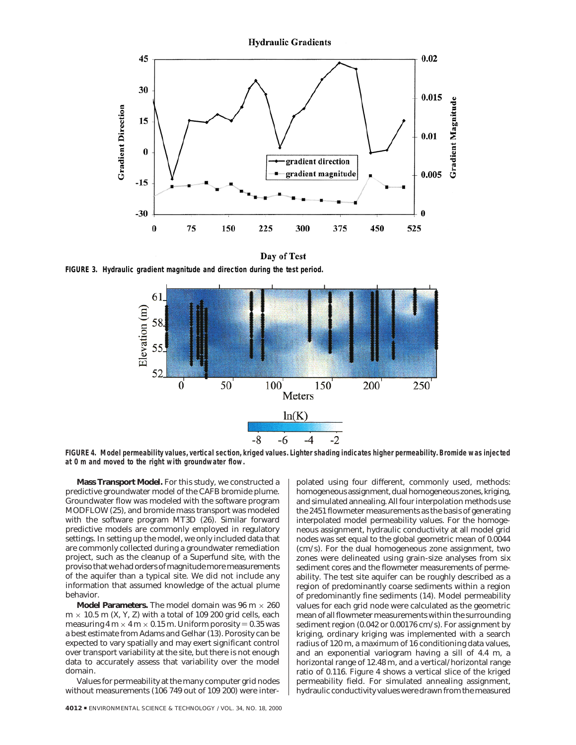

Day of Test

**FIGURE 3. Hydraulic gradient magnitude and direction during the test period.**



**FIGURE 4. Model permeability values, vertical section, kriged values. Lighter shading indicates higher permeability. Bromide was injected at 0 m and moved to the right with groundwater flow.**

**Mass Transport Model.** For this study, we constructed a predictive groundwater model of the CAFB bromide plume. Groundwater flow was modeled with the software program MODFLOW (*25*), and bromide mass transport was modeled with the software program MT3D (*26*). Similar forward predictive models are commonly employed in regulatory settings. In setting up the model, we only included data that are commonly collected during a groundwater remediation project, such as the cleanup of a Superfund site, with the proviso that we had orders of magnitude more measurements of the aquifer than a typical site. We did not include any information that assumed knowledge of the actual plume behavior.

**Model Parameters.** The model domain was  $96 \text{ m} \times 260$  $m \times 10.5$  m  $(X, Y, Z)$  with a total of 109 200 grid cells, each measuring  $4 \text{ m} \times 4 \text{ m} \times 0.15 \text{ m}$ . Uniform porosity = 0.35 was a best estimate from Adams and Gelhar (*13*). Porosity can be expected to vary spatially and may exert significant control over transport variability at the site, but there is not enough data to accurately assess that variability over the model domain.

Values for permeability at the many computer grid nodes without measurements (106 749 out of 109 200) were inter-

**4012 ■ ENVIRONMENTAL SCIENCE & TECHNOLOGY / VOL. 34, NO. 18, 2000** 

polated using four different, commonly used, methods: homogeneous assignment, dual homogeneous zones, kriging, and simulated annealing. All four interpolation methods use the 2451 flowmeter measurements as the basis of generating interpolated model permeability values. For the homogeneous assignment, hydraulic conductivity at all model grid nodes was set equal to the global geometric mean of 0.0044 (cm/s). For the dual homogeneous zone assignment, two zones were delineated using grain-size analyses from six sediment cores and the flowmeter measurements of permeability. The test site aquifer can be roughly described as a region of predominantly coarse sediments within a region of predominantly fine sediments (*14*). Model permeability values for each grid node were calculated as the geometric mean of all flowmeter measurements within the surrounding sediment region (0.042 or 0.00176 cm/s). For assignment by kriging, ordinary kriging was implemented with a search radius of 120 m, a maximum of 16 conditioning data values, and an exponential variogram having a sill of 4.4 m, a horizontal range of 12.48 m, and a vertical/horizontal range ratio of 0.116. Figure 4 shows a vertical slice of the kriged permeability field. For simulated annealing assignment, hydraulic conductivity values were drawn from the measured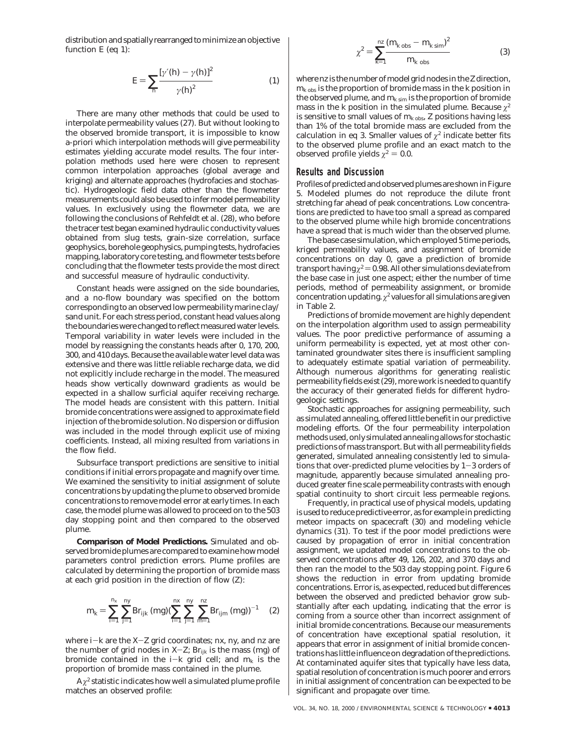distribution and spatially rearranged to minimize an objective function  $E$  (eq 1):

$$
E = \sum_{h} \frac{\left[\gamma'(h) - \gamma(h)\right]^2}{\gamma(h)^2}
$$
 (1)

There are many other methods that could be used to interpolate permeability values (*27*). But without looking to the observed bromide transport, it is impossible to know a-priori which interpolation methods will give permeability estimates yielding accurate model results. The four interpolation methods used here were chosen to represent common interpolation approaches (global average and kriging) and alternate approaches (hydrofacies and stochastic). Hydrogeologic field data other than the flowmeter measurements could also be used to infer model permeability values. In exclusively using the flowmeter data, we are following the conclusions of Rehfeldt et al. (*28*), who before the tracer test began examined hydraulic conductivity values obtained from slug tests, grain-size correlation, surface geophysics, borehole geophysics, pumping tests, hydrofacies mapping, laboratory core testing, and flowmeter tests before concluding that the flowmeter tests provide the most direct and successful measure of hydraulic conductivity.

Constant heads were assigned on the side boundaries, and a no-flow boundary was specified on the bottom corresponding to an observed low permeability marine clay/ sand unit. For each stress period, constant head values along the boundaries were changed to reflect measured water levels. Temporal variability in water levels were included in the model by reassigning the constants heads after 0, 170, 200, 300, and 410 days. Because the available water level data was extensive and there was little reliable recharge data, we did not explicitly include recharge in the model. The measured heads show vertically downward gradients as would be expected in a shallow surficial aquifer receiving recharge. The model heads are consistent with this pattern. Initial bromide concentrations were assigned to approximate field injection of the bromide solution. No dispersion or diffusion was included in the model through explicit use of mixing coefficients. Instead, all mixing resulted from variations in the flow field.

Subsurface transport predictions are sensitive to initial conditions if initial errors propagate and magnify over time. We examined the sensitivity to initial assignment of solute concentrations by updating the plume to observed bromide concentrations to remove model error at early times. In each case, the model plume was allowed to proceed on to the 503 day stopping point and then compared to the observed plume.

**Comparison of Model Predictions.** Simulated and observed bromide plumes are compared to examine how model parameters control prediction errors. Plume profiles are calculated by determining the proportion of bromide mass at each grid position in the direction of flow (*Z*):

$$
m_{k} = \sum_{j=1}^{n_{x}} \sum_{j=1}^{ny} \text{Br}_{ijk} \, (\text{mg}) (\sum_{j=1}^{nx} \sum_{j=1}^{ny} \sum_{m=1}^{nz} \text{Br}_{ijm} \, (\text{mg}))^{-1} \quad (2)
$$

where *<sup>i</sup>*-*<sup>k</sup>* are the *<sup>X</sup>*-*<sup>Z</sup>* grid coordinates; *nx*, *ny*, and *nz* are the number of grid nodes in  $X-Z$ ; Br<sub>ijk</sub> is the mass (mg) of bromide contained in the  $i-k$  grid cell; and  $m_k$  is the proportion of bromide mass contained in the plume.

 $A \chi^2$  statistic indicates how well a simulated plume profile matches an observed profile:

$$
\chi^2 = \sum_{k=1}^{nz} \frac{(m_{k \text{ obs}} - m_{k \text{ sim}})^2}{m_{k \text{ obs}}}
$$
(3)

where*nz* is the number of model grid nodes in the*Z*direction, *mk* obs is the proportion of bromide mass in the *k* position in the observed plume, and  $m_{k \text{ sim}}$  is the proportion of bromide mass in the *k* position in the simulated plume. Because  $\chi^2$ is sensitive to small values of  $m_{k\text{ obs}}$ , *Z* positions having less than 1% of the total bromide mass are excluded from the calculation in eq 3. Smaller values of  $\chi^2$  indicate better fits to the observed plume profile and an exact match to the observed profile yields  $\chi^2 = 0.0$ .

#### **Results and Discussion**

Profiles of predicted and observed plumes are shown in Figure 5. Modeled plumes do not reproduce the dilute front stretching far ahead of peak concentrations. Low concentrations are predicted to have too small a spread as compared to the observed plume while high bromide concentrations have a spread that is much wider than the observed plume.

The base case simulation, which employed 5 time periods, kriged permeability values, and assignment of bromide concentrations on day 0, gave a prediction of bromide transport having  $\chi^2 = 0.98$ . All other simulations deviate from the base case in just one aspect; either the number of time periods, method of permeability assignment, or bromide concentration updating.  $\chi^2$  values for all simulations are given in Table 2.

Predictions of bromide movement are highly dependent on the interpolation algorithm used to assign permeability values. The poor predictive performance of assuming a uniform permeability is expected, yet at most other contaminated groundwater sites there is insufficient sampling to adequately estimate spatial variation of permeability. Although numerous algorithms for generating realistic permeability fields exist (*29*), more work is needed to quantify the accuracy of their generated fields for different hydrogeologic settings.

Stochastic approaches for assigning permeability, such as simulated annealing, offered little benefit in our predictive modeling efforts. Of the four permeability interpolation methods used, only simulated annealing allows for stochastic predictions of mass transport. But with all permeability fields generated, simulated annealing consistently led to simulations that over-predicted plume velocities by 1-3 orders of magnitude, apparently because simulated annealing produced greater fine scale permeability contrasts with enough spatial continuity to short circuit less permeable regions.

Frequently, in practical use of physical models, updating is used to reduce predictive error, as for example in predicting meteor impacts on spacecraft (*30*) and modeling vehicle dynamics (*31*). To test if the poor model predictions were caused by propagation of error in initial concentration assignment, we updated model concentrations to the observed concentrations after 49, 126, 202, and 370 days and then ran the model to the 503 day stopping point. Figure 6 shows the reduction in error from updating bromide concentrations. Error is, as expected, reduced but differences between the observed and predicted behavior grow substantially after each updating, indicating that the error is coming from a source other than incorrect assignment of initial bromide concentrations. Because our measurements of concentration have exceptional spatial resolution, it appears that error in assignment of initial bromide concentrations has little influence on degradation of the predictions. At contaminated aquifer sites that typically have less data, spatial resolution of concentration is much poorer and errors in initial assignment of concentration can be expected to be significant and propagate over time.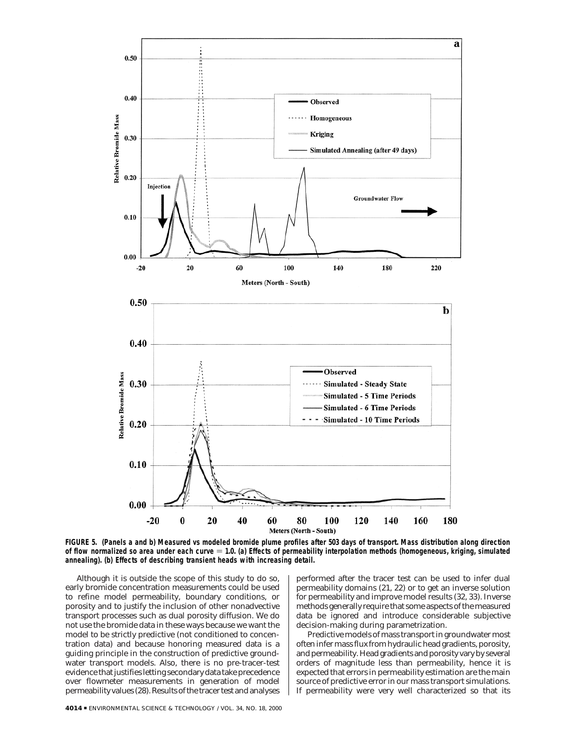

**FIGURE 5. (Panels a and b) Measured vs modeled bromide plume profiles after 503 days of transport. Mass distribution along direction** of flow normalized so area under each curve = 1.0. (a) Effects of permeability interpolation methods (homogeneous, kriging, simulated **annealing). (b) Effects of describing transient heads with increasing detail.**

Although it is outside the scope of this study to do so, early bromide concentration measurements could be used to refine model permeability, boundary conditions, or porosity and to justify the inclusion of other nonadvective transport processes such as dual porosity diffusion. We do not use the bromide data in these ways because we want the model to be strictly predictive (not conditioned to concentration data) and because honoring measured data is a guiding principle in the construction of predictive groundwater transport models. Also, there is no pre-tracer-test evidence that justifies letting secondary data take precedence over flowmeter measurements in generation of model permeability values (*28*). Results of the tracer test and analyses performed after the tracer test can be used to infer dual permeability domains (*21, 22*) or to get an inverse solution for permeability and improve model results (*32, 33*). Inverse methods generally require that some aspects of the measured data be ignored and introduce considerable subjective decision-making during parametrization.

Predictive models of mass transport in groundwater most often infer mass flux from hydraulic head gradients, porosity, and permeability. Head gradients and porosity vary by several orders of magnitude less than permeability, hence it is expected that errors in permeability estimation are the main source of predictive error in our mass transport simulations. If permeability were very well characterized so that its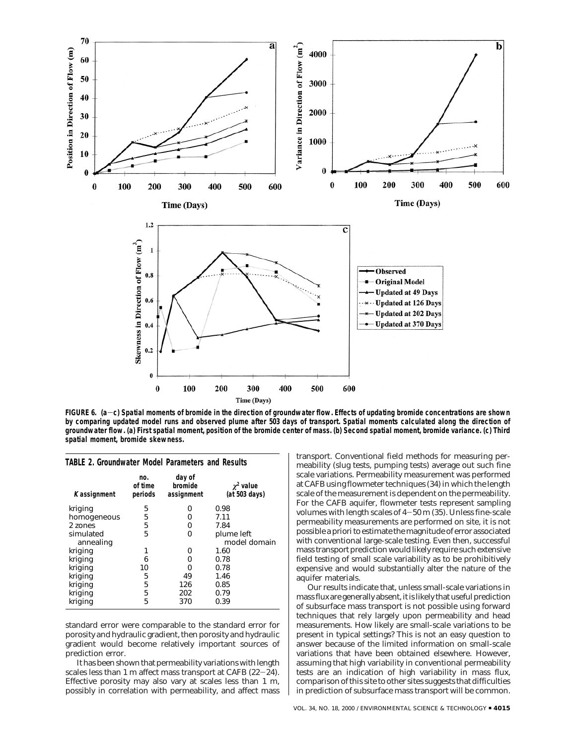

**FIGURE 6. (a**-**c) Spatial moments of bromide in the direction of groundwater flow. Effects of updating bromide concentrations are shown by comparing updated model runs and observed plume after 503 days of transport. Spatial moments calculated along the direction of groundwater flow. (a) First spatial moment, position of the bromide center of mass. (b) Second spatial moment, bromide variance. (c) Third spatial moment, bromide skewness.**

| K assignment | no.<br>of time<br>periods | day of<br>bromide<br>assignment | $\chi^2$ value<br>(at 503 days) |
|--------------|---------------------------|---------------------------------|---------------------------------|
| kriging      | 5                         | ŋ                               | 0.98                            |
| homogeneous  | 5                         | Ω                               | 7.11                            |
| 2 zones      | 5                         | ი                               | 7.84                            |
| simulated    | 5                         | Ω                               | plume left                      |
| annealing    |                           |                                 | model domain                    |
| kriging      | 1                         | O                               | 1.60                            |
| kriging      | 6                         | ŋ                               | 0.78                            |
| kriging      | 10                        | ŋ                               | 0.78                            |
| kriging      | 5                         | 49                              | 1.46                            |
| kriging      | 5                         | 126                             | 0.85                            |
| kriging      | 5                         | 202                             | 0.79                            |
| kriging      | 5                         | 370                             | 0.39                            |

**TABLE 2. Groundwater Model Parameters and Results**

standard error were comparable to the standard error for porosity and hydraulic gradient, then porosity and hydraulic gradient would become relatively important sources of prediction error.

It has been shown that permeability variations with length scales less than 1 m affect mass transport at CAFB (*22*-*24*). Effective porosity may also vary at scales less than 1 m, possibly in correlation with permeability, and affect mass transport. Conventional field methods for measuring permeability (slug tests, pumping tests) average out such fine scale variations. Permeability measurement was performed at CAFB using flowmeter techniques (*34*) in which the length scale of the measurement is dependent on the permeability. For the CAFB aquifer, flowmeter tests represent sampling volumes with length scales of 4-50 m (*35*). Unless fine-scale permeability measurements are performed on site, it is not possible a priori to estimate the magnitude of error associated with conventional large-scale testing. Even then, successful mass transport prediction would likely require such extensive field testing of small scale variability as to be prohibitively expensive and would substantially alter the nature of the aquifer materials.

Our results indicate that, unless small-scale variations in mass flux are generally absent, it is likely that useful prediction of subsurface mass transport is not possible using forward techniques that rely largely upon permeability and head measurements. How likely are small-scale variations to be present in typical settings? This is not an easy question to answer because of the limited information on small-scale variations that have been obtained elsewhere. However, assuming that high variability in conventional permeability tests are an indication of high variability in mass flux, comparison of this site to other sites suggests that difficulties in prediction of subsurface mass transport will be common.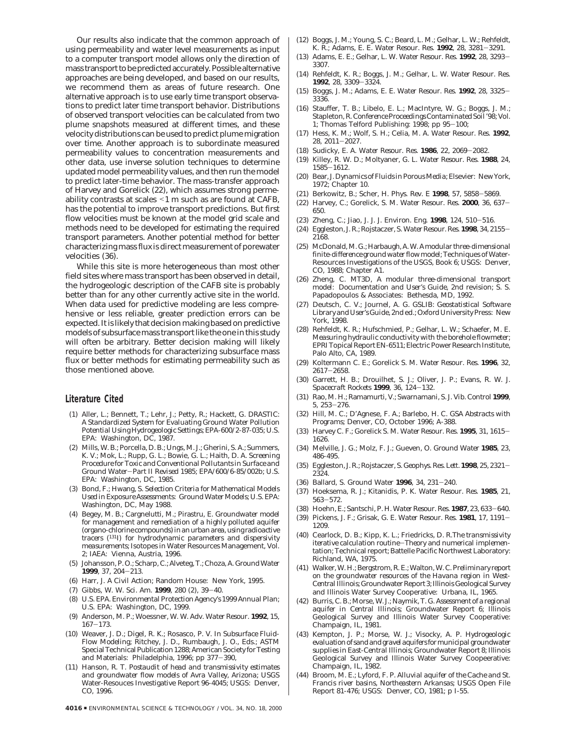Our results also indicate that the common approach of using permeability and water level measurements as input to a computer transport model allows only the *direction* of mass transport to be predicted accurately. Possible alternative approaches are being developed, and based on our results, we recommend them as areas of future research. One alternative approach is to use early time transport observations to predict later time transport behavior. Distributions of observed transport velocities can be calculated from two plume snapshots measured at different times, and these velocity distributions can be used to predict plume migration over time. Another approach is to subordinate measured permeability values to concentration measurements and other data, use inverse solution techniques to determine updated model permeability values, and then run the model to predict later-time behavior. The mass-transfer approach of Harvey and Gorelick (*22*), which assumes strong permeability contrasts at scales <1 m such as are found at CAFB, has the potential to improve transport predictions. But first flow velocities must be known at the model grid scale and methods need to be developed for estimating the required transport parameters. Another potential method for better characterizing mass flux is direct measurement of porewater velocities (*36*).

While this site is more heterogeneous than most other field sites where mass transport has been observed in detail, the hydrogeologic description of the CAFB site is probably better than for any other currently active site in the world. When data used for predictive modeling are less comprehensive or less reliable, greater prediction errors can be expected. It is likely that decision making based on predictive models of subsurface mass transport like the one in this study will often be arbitrary. Better decision making will likely require better methods for characterizing subsurface mass flux or better methods for estimating permeability such as those mentioned above.

#### **Literature Cited**

- (1) Aller, L.; Bennett, T.; Lehr, J.; Petty, R.; Hackett, G. *DRASTIC: A Standardized System for Evaluating Ground Water Pollution Potential Using Hydrogeologic Settings*; EPA-600/2-87-035; U.S. EPA: Washington, DC, 1987.
- (2) Mills, W. B.; Porcella, D. B.; Ungs, M. J.; Gherini, S. A.; Summers, K. V.; Mok, L.; Rupp, G. L.; Bowie, G. L.; Haith, D. A. *Screening Procedure for Toxic and Conventional Pollutants in Surface and Ground Water*-*Part II Revised 1985*; EPA/600/6-85/002b; U.S. EPA: Washington, DC, 1985.
- (3) Bond, F.; Hwang, S. *Selection Criteria for Mathematical Models Used in Exposure Assessments: Ground Water Models*; U.S. EPA: Washington, DC, May 1988.
- (4) Begey, M. B.; Cargnelutti, M.; Pirastru, E. *Groundwater model for management and remediation of a highly polluted aquifer (organo-chlorine compounds) in an urban area, using radioactive tracers (131I) for hydrodynamic parameters and dispersivity measurements*; Isotopes in Water Resources Management, Vol. 2; IAEA: Vienna, Austria, 1996.
- (5) Johansson, P. O.; Scharp, C.; Alveteg, T.; Choza, A. *Ground Water* **<sup>1999</sup>**, *<sup>37</sup>*, 204-213.
- (6) Harr, J. *A Civil Action*; Random House: New York, 1995.
- (7) Gibbs, W. W. *Sci. Am.* **<sup>1999</sup>**, *<sup>280</sup>* (2), 39-40.
- (8) U.S. EPA. *Environmental Protection Agency's 1999 Annual Plan*; U.S. EPA: Washington, DC, 1999.
- (9) Anderson, M. P.; Woessner, W. W. *Adv. Water Resour.* **1992**, *15*,
- <sup>167</sup>-173. (10) Weaver, J. D.; Digel, R. K.; Rosasco, P. V. In *Subsurface Fluid-Flow Modeling*; Ritchey, J. D., Rumbaugh, J. O., Eds.; ASTM Special Technical Publication 1288; American Society for Testing and Materials: Philadelphia, 1996; pp 377-390,
- (11) Hanson, R. T. *Postaudit of head and transmissivity estimates and groundwater flow models of Avra Valley, Arizona*; USGS Water-Resouces Investigative Report 96-4045; USGS: Denver, CO, 1996.
- (12) Boggs, J. M.; Young, S. C.; Beard, L. M.; Gelhar, L. W.; Rehfeldt, K. R.; Adams, E. E. *Water Resour. Res*. **<sup>1992</sup>**, *<sup>28</sup>*, 3281-3291.
- (13) Adams, E. E.; Gelhar, L. W. *Water Resour. Res.* **<sup>1992</sup>**, *<sup>28</sup>*, 3293- 3307.
- (14) Rehfeldt, K. R.; Boggs, J. M.; Gelhar, L. W. *Water Resour. Res.* **<sup>1992</sup>**, *<sup>28</sup>*, 3309-3324.
- (15) Boggs, J. M.; Adams, E. E. *Water Resour. Res.* **<sup>1992</sup>**, *<sup>28</sup>*, 3325- 3336.
- (16) Stauffer, T. B.; Libelo, E. L.; MacIntyre, W. G.; Boggs, J. M.; Stapleton, R.*Conference Proceedings Contaminated Soil*'*98*; Vol. 1; Thomas Telford Publishing: 1998; pp 95-100;
- (17) Hess, K. M.; Wolf, S. H.; Celia, M. A. *Water Resour. Res.* **1992**, *<sup>28</sup>*, 2011-2027.
- (18) Sudicky, E. A. *Water Resour. Res.* **<sup>1986</sup>**, *<sup>22</sup>*, 2069-2082.
- (19) Killey, R. W. D.; Moltyaner, G. L. *Water Resour. Res.* **1988**, *24*, <sup>1585</sup>-1612.
- (20) Bear, J. *Dynamics of Fluids in Porous Media*; Elsevier: New York, 1972; Chapter 10.
- (21) Berkowitz, B.; Scher, H. *Phys. Rev. E* **<sup>1998</sup>**, *<sup>57</sup>*, 5858-5869.
- (22) Harvey, C.; Gorelick, S. M. *Water Resour. Res.* **<sup>2000</sup>**, *<sup>36</sup>*, 637- 650.
- (23) Zheng, C.; Jiao, J. J. *J. Environ. Eng.* **<sup>1998</sup>**, *<sup>124</sup>*, 510-516.
- (24) Eggleston, J. R.; Rojstaczer, S. *Water Resour. Res.* **<sup>1998</sup>**, *<sup>34</sup>*, 2155- 2168.
- (25) McDonald, M. G.; Harbaugh, A. W.*A modular three-dimensional finite-difference ground water flow model*; Techniques of Water-Resources Investigations of the USGS, Book 6; USGS: Denver, CO, 1988; Chapter A1.
- (26) Zheng, C. *MT3D, A modular three-dimensional transport model: Documentation and User's Guide*, 2nd revision; S. S. Papadopoulos & Associates: Bethesda, MD, 1992.
- (27) Deutsch, C. V.; Journel, A. G. *GSLIB: Geostatistical Software Library and User's Guide,* 2nd ed.; Oxford University Press: New York, 1998.
- (28) Rehfeldt, K. R.; Hufschmied, P.; Gelhar, L. W.; Schaefer, M. E. *Measuring hydraulic conductivity with the borehole flowmeter*; EPRI Topical Report EN-6511; Electric Power Research Institute, Palo Alto, CA, 1989.
- (29) Koltermann C. E.; Gorelick S. M. *Water Resour. Res.* **1996**, *32*, <sup>2617</sup>-2658.
- (30) Garrett, H. B.; Drouilhet, S. J.; Oliver, J. P.; Evans, R. W. *J. Spacecraft Rockets* **<sup>1999</sup>**, *<sup>36</sup>*, 124-132.
- (31) Rao, M. H.; Ramamurti, V.; Swarnamani, S. *J. Vib. Control* **1999**, *<sup>5</sup>*, 253-276.
- (32) Hill, M. C.; D'Agnese, F. A.; Barlebo, H. C. *GSA Abstracts with Programs*; Denver, CO, October 1996; A-388.
- (33) Harvey C. F.; Gorelick S. M. *Water Resour. Res.* **<sup>1995</sup>**, *<sup>31</sup>*, 1615- 1626.
- (34) Melville, J. G.; Molz, F. J.; Gueven, O. *Ground Water* **1985**, *23*, 486-495.
- (35) Eggleston, J. R.; Rojstaczer, S. *Geophys. Res. Lett.* **<sup>1998</sup>**, *<sup>25</sup>*, 2321- 2324.
- (36) Ballard, S. *Ground Water* **<sup>1996</sup>**, *<sup>34</sup>*, 231-240.
- (37) Hoeksema, R. J.; Kitanidis, P. K. *Water Resour. Res.* **1985**, *21*, <sup>563</sup>-572.
- (38) Hoehn, E.; Santschi, P. H. *Water Resour. Res.* **<sup>1987</sup>**, *<sup>23</sup>*, 633-640.
- (39) Pickens, J. F.; Grisak, G. E. *Water Resour. Res.* **<sup>1981</sup>**, *<sup>17</sup>*, 1191- 1209.
- (40) Cearlock, D. B.; Kipp, K. L.; Friedricks, D. R.*The transmissivity iterative calculation routine*-*Theory and numerical implementation*; Technical report; Battelle Pacific Northwest Laboratory: Richland, WA, 1975.
- (41) Walker, W. H.; Bergstrom, R. E.; Walton, W. C.*Preliminary report on the groundwater resources of the Havana region in West-Central Illinois*; Groundwater Report 3; Illinois Geological Survey and Illinois Water Survey Cooperative: Urbana, IL, 1965.
- (42) Burris, C. B.; Morse, W. J.; Naymik, T. G. *Assessment of a regional aquifer in Central Illinois*; Groundwater Report 6; Illinois Geological Survey and Illinois Water Survey Cooperative: Champaign, IL, 1981.
- (43) Kempton, J. P.; Morse, W. J.; Visocky, A. P. *Hydrogeologic evaluation of sand and gravel aquifers for municipal groundwater supplies in East-Central Illinois*; Groundwater Report 8; Illinois Geological Survey and Illinois Water Survey Coopeerative: Champaign, IL, 1982.
- (44) Broom, M. E.; Lyford, F. P. *Alluvial aquifer of the Cache and St. Francis river basins, Northeastern Arkansas*; USGS Open File Report 81-476; USGS: Denver, CO, 1981; p I-55.